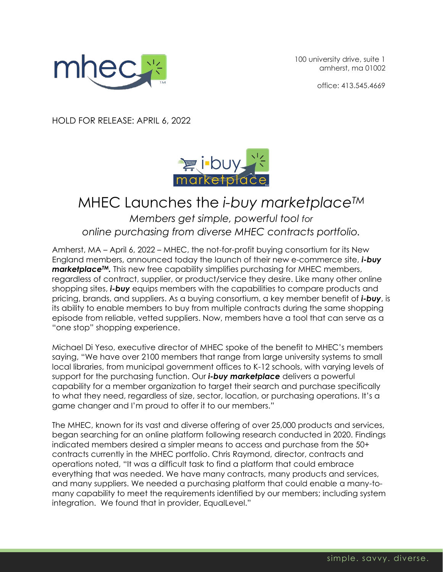

100 university drive, suite 1 amherst, ma 01002

office: 413.545.4669

HOLD FOR RELEASE: APRIL 6, 2022



## MHEC Launches the *i-buy marketplaceTM*

*Members get simple, powerful tool for online purchasing from diverse MHEC contracts portfolio.*

Amherst, MA – April 6, 2022 – MHEC, the not-for-profit buying consortium for its New England members, announced today the launch of their new e-commerce site, *i-buy marketplaceTM.* This new free capability simplifies purchasing for MHEC members, regardless of contract, supplier, or product/service they desire. Like many other online shopping sites, *i-buy* equips members with the capabilities to compare products and pricing, brands, and suppliers. As a buying consortium, a key member benefit of *i-buy*, is its ability to enable members to buy from multiple contracts during the same shopping episode from reliable, vetted suppliers. Now, members have a tool that can serve as a "one stop" shopping experience.

Michael Di Yeso, executive director of MHEC spoke of the benefit to MHEC's members saying, "We have over 2100 members that range from large university systems to small local libraries, from municipal government offices to K-12 schools, with varying levels of support for the purchasing function. Our *i-buy marketplace* delivers a powerful capability for a member organization to target their search and purchase specifically to what they need, regardless of size, sector, location, or purchasing operations. It's a game changer and I'm proud to offer it to our members."

The MHEC, known for its vast and diverse offering of over 25,000 products and services, began searching for an online platform following research conducted in 2020. Findings indicated members desired a simpler means to access and purchase from the 50+ contracts currently in the MHEC portfolio. Chris Raymond, director, contracts and operations noted, "It was a difficult task to find a platform that could embrace everything that was needed. We have many contracts, many products and services, and many suppliers. We needed a purchasing platform that could enable a many-tomany capability to meet the requirements identified by our members; including system integration. We found that in provider, EqualLevel."